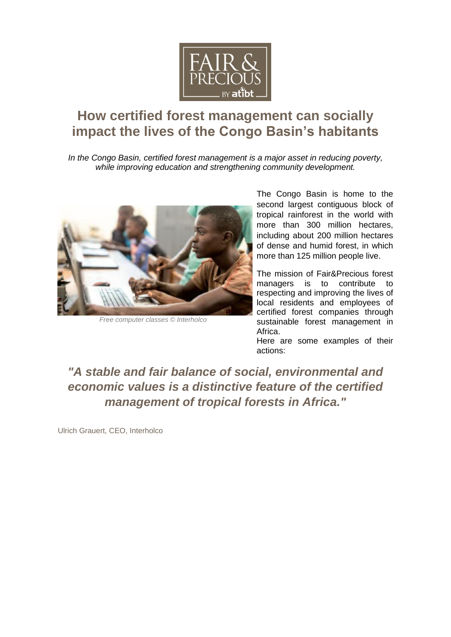

# **How certified forest management can socially impact the lives of the Congo Basin's habitants**

*In the Congo Basin, certified forest management is a major asset in reducing poverty, while improving education and strengthening community development.* 



*Free computer classes © Interholco*

The Congo Basin is home to the second largest contiguous block of tropical rainforest in the world with more than 300 million hectares. including about 200 million hectares of dense and humid forest, in which more than 125 million people live.

The mission of Fair&Precious forest managers is to contribute to respecting and improving the lives of local residents and employees of certified forest companies through sustainable forest management in Africa.

Here are some examples of their actions:

*"A stable and fair balance of social, environmental and economic values is a distinctive feature of the certified management of tropical forests in Africa."*

Ulrich Grauert, CEO, Interholco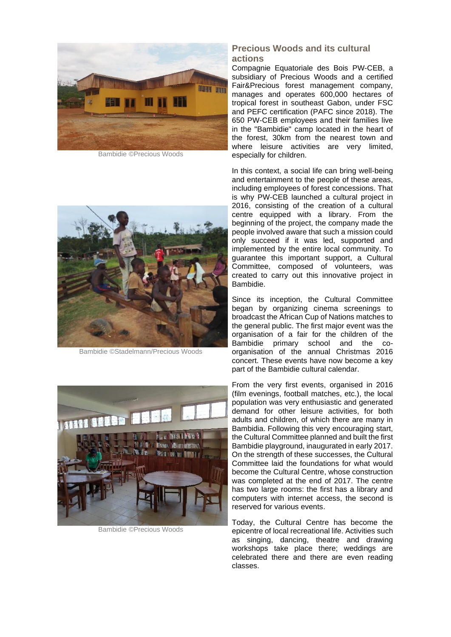

Bambidie ©Precious Woods



Bambidie ©Stadelmann/Precious Woods



Bambidie ©Precious Woods

#### **Precious Woods and its cultural actions**

Compagnie Equatoriale des Bois PW-CEB, a subsidiary of Precious Woods and a certified Fair&Precious forest management company, manages and operates 600,000 hectares of tropical forest in southeast Gabon, under FSC and PEFC certification (PAFC since 2018). The 650 PW-CEB employees and their families live in the "Bambidie" camp located in the heart of the forest, 30km from the nearest town and where leisure activities are very limited, especially for children.

In this context, a social life can bring well-being and entertainment to the people of these areas, including employees of forest concessions. That is why PW-CEB launched a cultural project in 2016, consisting of the creation of a cultural centre equipped with a library. From the beginning of the project, the company made the people involved aware that such a mission could only succeed if it was led, supported and implemented by the entire local community. To guarantee this important support, a Cultural Committee, composed of volunteers, was created to carry out this innovative project in Bambidie.

Since its inception, the Cultural Committee began by organizing cinema screenings to broadcast the African Cup of Nations matches to the general public. The first major event was the organisation of a fair for the children of the Bambidie primary school and the coorganisation of the annual Christmas 2016 concert. These events have now become a key part of the Bambidie cultural calendar.

From the very first events, organised in 2016 (film evenings, football matches, etc.), the local population was very enthusiastic and generated demand for other leisure activities, for both adults and children, of which there are many in Bambidia. Following this very encouraging start, the Cultural Committee planned and built the first Bambidie playground, inaugurated in early 2017. On the strength of these successes, the Cultural Committee laid the foundations for what would become the Cultural Centre, whose construction was completed at the end of 2017. The centre has two large rooms: the first has a library and computers with internet access, the second is reserved for various events.

Today, the Cultural Centre has become the epicentre of local recreational life. Activities such as singing, dancing, theatre and drawing workshops take place there; weddings are celebrated there and there are even reading classes.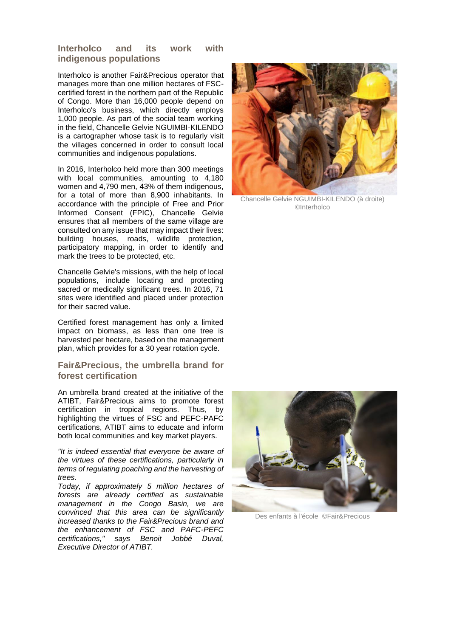## **Interholco and its work with indigenous populations**

Interholco is another Fair&Precious operator that manages more than one million hectares of FSCcertified forest in the northern part of the Republic of Congo. More than 16,000 people depend on Interholco's business, which directly employs 1,000 people. As part of the social team working in the field, Chancelle Gelvie NGUIMBI-KILENDO is a cartographer whose task is to regularly visit the villages concerned in order to consult local communities and indigenous populations.

In 2016, Interholco held more than 300 meetings with local communities, amounting to 4,180 women and 4,790 men, 43% of them indigenous, for a total of more than 8,900 inhabitants. In accordance with the principle of Free and Prior Informed Consent (FPIC), Chancelle Gelvie ensures that all members of the same village are consulted on any issue that may impact their lives: building houses, roads, wildlife protection, participatory mapping, in order to identify and mark the trees to be protected, etc.

Chancelle Gelvie's missions, with the help of local populations, include locating and protecting sacred or medically significant trees. In 2016, 71 sites were identified and placed under protection for their sacred value.

Certified forest management has only a limited impact on biomass, as less than one tree is harvested per hectare, based on the management plan, which provides for a 30 year rotation cycle.

## **Fair&Precious, the umbrella brand for forest certification**

An umbrella brand created at the initiative of the ATIBT, Fair&Precious aims to promote forest certification in tropical regions. Thus, by highlighting the virtues of FSC and PEFC-PAFC certifications, ATIBT aims to educate and inform both local communities and key market players.

*"It is indeed essential that everyone be aware of the virtues of these certifications, particularly in terms of regulating poaching and the harvesting of trees.*

*Today, if approximately 5 million hectares of forests are already certified as sustainable management in the Congo Basin, we are convinced that this area can be significantly increased thanks to the Fair&Precious brand and the enhancement of FSC and PAFC-PEFC certifications," says Benoit Jobbé Duval, Executive Director of ATIBT.*



Chancelle Gelvie NGUIMBI-KILENDO (à droite) ©Interholco



Des enfants à l'école ©Fair&Precious